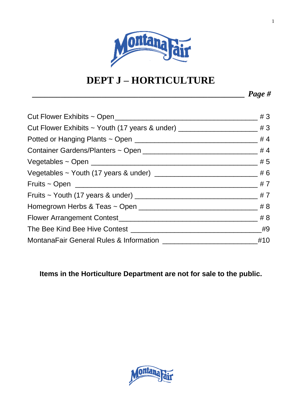

# **DEPT J – HORTICULTURE**

*\_\_\_\_\_\_\_\_\_\_\_\_\_\_\_\_\_\_\_\_\_\_\_\_\_\_\_\_\_\_\_\_\_\_\_\_\_\_\_\_\_\_\_\_\_\_\_\_\_\_\_\_ Page #*

**Items in the Horticulture Department are not for sale to the public.**

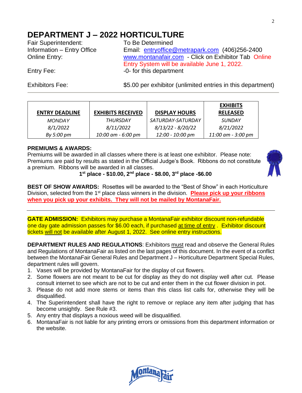# **DEPARTMENT J – 2022 HORTICULTURE**

Fair Superintendent: To Be Determined

Information – Entry Office Email: [entryoffice@metrapark.com](mailto:entryoffice@metrapark.com) (406)256-2400 Online Entry: [www.montanafair.com](http://www.montanafair.com/) - Click on Exhibitor Tab Online Entry System will be available June 1, 2022. Entry Fee:  $-0$ - for this department

Exhibitors Fee:  $$5.00$  per exhibitor (unlimited entries in this department)

|                       |                          |                      | <b>EXHIBITS</b>    |
|-----------------------|--------------------------|----------------------|--------------------|
| <b>ENTRY DEADLINE</b> | <b>EXHIBITS RECEIVED</b> | <b>DISPLAY HOURS</b> | <b>RELEASED</b>    |
| <b>MONDAY</b>         | THURSDAY                 | SATURDAY-SATURDAY    | <b>SUNDAY</b>      |
| 8/1/2022              | 8/11/2022                | $8/13/22 - 8/20/22$  | 8/21/2022          |
| By 5:00 pm            | 10:00 am - 6:00 pm       | 12:00 - 10:00 pm     | 11:00 am - 3:00 pm |

# **PREMIUMS & AWARDS:**

Premiums will be awarded in all classes where there is at least one exhibitor. Please note: Premiums are paid by results as stated in the Official Judge's Book. Ribbons do not constitute a premium. Ribbons will be awarded in all classes.



**1 st place - \$10.00, 2nd place - \$8.00, 3rd place -\$6.00**

**BEST OF SHOW AWARDS:** Rosettes will be awarded to the "Best of Show" in each Horticulture Division, selected from the 1st place class winners in the division. **Please pick up your ribbons when you pick up your exhibits. They will not be mailed by MontanaFair.**

**GATE ADMISSION:** Exhibitors may purchase a MontanaFair exhibitor discount non-refundable one day gate admission passes for \$6.00 each, if purchased at time of entry . Exhibitor discount tickets will not be available after August 1, 2022. See online entry instructions.

**DEPARTMENT RULES AND REGULATIONS**: Exhibitors must read and observe the General Rules and Regulations of MontanaFair as listed on the last pages of this document. In the event of a conflict between the MontanaFair General Rules and Department J – Horticulture Department Special Rules, department rules will govern.

- 1. Vases will be provided by MontanaFair for the display of cut flowers.
- 2. Some flowers are not meant to be cut for display as they do not display well after cut. Please consult internet to see which are not to be cut and enter them in the cut flower division in pot.
- 3. Please do not add more stems or items than this class list calls for, otherwise they will be disqualified.
- 4. The Superintendent shall have the right to remove or replace any item after judging that has become unsightly. See Rule #3.
- 5. Any entry that displays a noxious weed will be disqualified.
- 6. MontanaFair is not liable for any printing errors or omissions from this department information or the website.

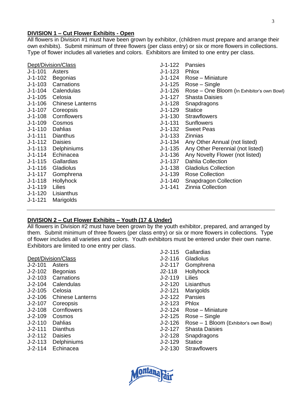# **DIVISION 1 – Cut Flower Exhibits - Open**

All flowers in Division #1 must have been grown by exhibitor, (children must prepare and arrange their own exhibits). Submit minimum of three flowers (per class entry) or six or more flowers in collections. Type of flower includes all varieties and colors. Exhibitors are limited to one entry per class.

|           | Dept/Division/Class     | J-1-122   | Pansies                                    |
|-----------|-------------------------|-----------|--------------------------------------------|
| $J-1-101$ | Asters                  | $J-1-123$ | Phlox                                      |
| J-1-102   | Begonias                | J-1-124   | Rose – Miniature                           |
| $J-1-103$ | Carnations              | $J-1-125$ | $Rose - Single$                            |
| $J-1-104$ | Calendulas              | $J-1-126$ | Rose - One Bloom (In Exhibitor's own Bowl) |
| $J-1-105$ | Celosia                 | J-1-127   | <b>Shasta Daisies</b>                      |
| $J-1-106$ | <b>Chinese Lanterns</b> | $J-1-128$ | Snapdragons                                |
| $J-1-107$ | Coreopsis               | $J-1-129$ | <b>Statice</b>                             |
| $J-1-108$ | Cornflowers             | $J-1-130$ | <b>Strawflowers</b>                        |
| $J-1-109$ | Cosmos                  | J-1-131   | <b>Sunflowers</b>                          |
| $J-1-110$ | Dahlias                 | $J-1-132$ | <b>Sweet Peas</b>                          |
| $J-1-111$ | <b>Dianthus</b>         | $J-1-133$ | <b>Zinnias</b>                             |
| $J-1-112$ | <b>Daisies</b>          | J-1-134   | Any Other Annual (not listed)              |
| $J-1-113$ | <b>Delphiniums</b>      | $J-1-135$ | Any Other Perennial (not listed)           |
| $J-1-114$ | Echinacea               | $J-1-136$ | Any Novelty Flower (not listed)            |
| $J-1-115$ | Gallardias              | J-1-137   | <b>Dahlia Collection</b>                   |
| $J-1-116$ | Gladiolus               | J-1-138   | <b>Gladiolus Collection</b>                |
| $J-1-117$ | Gomphrena               | J-1-139   | <b>Rose Collection</b>                     |
| $J-1-118$ | Hollyhock               | $J-1-140$ | <b>Snapdragon Collection</b>               |
| $J-1-119$ | Lilies                  | J-1-141   | <b>Zinnia Collection</b>                   |
| $J-1-120$ | Lisianthus              |           |                                            |
| $J-1-121$ | Marigolds               |           |                                            |

# **DIVISION 2 – Cut Flower Exhibits – Youth (17 & Under)**

All flowers in Division #2 must have been grown by the youth exhibitor, prepared, and arranged by them. Submit minimum of three flowers (per class entry) or six or more flowers in collections. Type of flower includes all varieties and colors. Youth exhibitors must be entered under their own name. Exhibitors are limited to one entry per class.

- Dept/Division/Class
- J-2-101 Asters
- J-2-102 Begonias
- J-2-103 Carnations
- J-2-104 Calendulas
- J-2-105 Celosia
- J-2-106 Chinese Lanterns
- J-2-107 Coreopsis
- J-2-108 Cornflowers
- J-2-109 Cosmos
- J-2-110 Dahlias
- J-2-111 Dianthus
- J-2-112 Daisies
- J-2-113 Delphiniums
- J-2-114 Echinacea

| $J - 2 - 115$                  | Gallardias                            |
|--------------------------------|---------------------------------------|
| $J - 2 - 116$<br>$J - 2 - 117$ | Gladiolus                             |
|                                | Gomphrena                             |
| $J2 - 118$                     | Hollyhock                             |
| $J - 2 - 119$                  | Lilies                                |
| $J - 2 - 120$                  | Lisianthus                            |
| $J - 2 - 121$                  | Marigolds                             |
| $J-2-122$                      | Pansies                               |
| J-2-123                        | Phlox                                 |
| $J - 2 - 124$                  | Rose – Miniature                      |
| $J - 2 - 125$                  | Rose – Single                         |
| $J-2-126$                      | Rose - 1 Bloom (Exhibitor's own Bowl) |
| $J - 2 - 127$                  | Shasta Daisies                        |
| $J-2-128$                      | Snapdragons                           |
| J-2-129                        | <b>Statice</b>                        |
| $J - 2 - 130$                  | <b>Strawflowers</b>                   |
|                                |                                       |

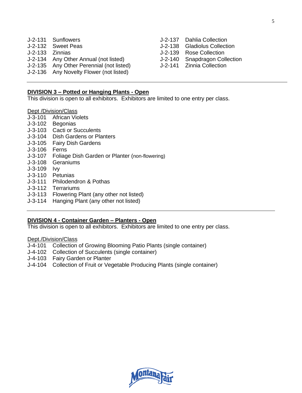|                 | J-2-131 Sunflowers                       | J-2-137 Dahlia Collection     |
|-----------------|------------------------------------------|-------------------------------|
|                 | J-2-132 Sweet Peas                       | J-2-138 Gladiolus Collection  |
| J-2-133 Zinnias |                                          | J-2-139 Rose Collection       |
|                 | J-2-134 Any Other Annual (not listed)    | J-2-140 Snapdragon Collection |
|                 | J-2-135 Any Other Perennial (not listed) | J-2-141 Zinnia Collection     |
|                 | J-2-136 Any Novelty Flower (not listed)  |                               |

# **DIVISION 3 – Potted or Hanging Plants - Open**

This division is open to all exhibitors. Exhibitors are limited to one entry per class.

Dept /Division/Class

- J-3-101 African Violets
- J-3-102 Begonias
- J-3-103 Cacti or Succulents
- J-3-104 Dish Gardens or Planters
- J-3-105 Fairy Dish Gardens
- J-3-106 Ferns
- J-3-107 Foliage Dish Garden or Planter (non-flowering)
- J-3-108 Geraniums
- J-3-109 Ivy
- J-3-110 Petunias
- J-3-111 Philodendron & Pothas
- J-3-112 Terrariums
- J-3-113 Flowering Plant (any other not listed)
- J-3-114 Hanging Plant (any other not listed)

# **DIVISION 4 - Container Garden – Planters - Open**

This division is open to all exhibitors. Exhibitors are limited to one entry per class.

Dept./Division/Class

- J-4-101 Collection of Growing Blooming Patio Plants (single container)
- J-4-102 Collection of Succulents (single container)
- J-4-103 Fairy Garden or Planter
- J-4-104 Collection of Fruit or Vegetable Producing Plants (single container)

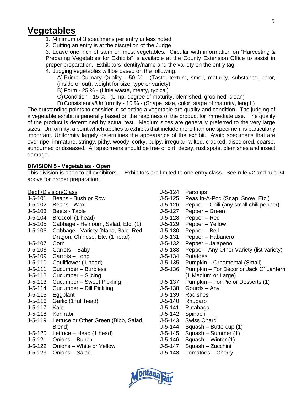# **Vegetables**

1. Minimum of 3 specimens per entry unless noted.

2. Cutting an entry is at the discretion of the Judge

3. Leave one inch of stem on most vegetables. Circular with information on "Harvesting & Preparing Vegetables for Exhibits" is available at the County Extension Office to assist in proper preparation. Exhibitors identify/name and the variety on the entry tag.

4. Judging vegetables will be based on the following:

A) Prime Culinary Quality - 50 % - (Taste, texture, smell, maturity, substance, color, (inside or out), weight for size, type or variety)

B) Form - 25 % - (Little waste, meaty, typical)

C) Condition - 15 % - (Limp, degree of maturity, blemished, groomed, clean)

D) Consistency/Uniformity - 10 % - (Shape, size, color, stage of maturity, length)

The outstanding points to consider in selecting a vegetable are quality and condition. The judging of a vegetable exhibit is generally based on the readiness of the product for immediate use. The quality of the product is determined by actual test. Medium sizes are generally preferred to the very large sizes. Uniformity, a point which applies to exhibits that include more than one specimen, is particularly important. Uniformity largely determines the appearance of the exhibit. Avoid specimens that are over ripe, immature, stringy, pithy, woody, corky, pulpy, irregular, wilted, cracked, discolored, coarse, sunburned or diseased. All specimens should be free of dirt, decay, rust spots, blemishes and insect damage.

# **DIVISION 5 - Vegetables - Open**

This division is open to all exhibitors. Exhibitors are limited to one entry class. See rule #2 and rule #4 above for proper preparation.

# Dept./Division/Class

- J-5-101 Beans Bush or Row
- J-5-102 Beans Wax
- J-5-103 Beets Table
- J-5-104 Broccoli (1 head)
- J-5-105 Cabbage Heirloom, Salad, Etc. (1)
- J-5-106 Cabbage Variety (Napa, Sale, Red Dragon, Chinese, Etc. (1 head)
- J-5-107 Corn
- J-5-108 Carrots Baby
- J-5-109 Carrots Long
- J-5-110 Cauliflower (1 head)
- J-5-111 Cucumber Burpless
- J-5-112 Cucumber Slicing
- J-5-113 Cucumber Sweet Pickling
- J-5-114 Cucumber Dill Pickling
- J-5-115 Eggplant
- J-5-116 Garlic (1 full head)
- J-5-117 Kale
- J-5-118 Kohlrabi
- J-5-119 Lettuce or Other Green (Bibb, Salad, Blend)
- J-5-120 Lettuce Head (1 head)
- J-5-121 Onions Bunch
- J-5-122 Onions White or Yellow
- J-5-123 Onions Salad
- J-5-124 Parsnips
- J-5-125 Peas In-A-Pod (Snap, Snow, Etc.)
- J-5-126 Pepper Chili (any small chili pepper)
- J-5-127 Pepper Green
- J-5-128 Pepper Red
- J-5-129 Pepper Yellow
- J-5-130 Pepper Bell
- J-5-131 Pepper Habanero
- J-5-132 Pepper Jalapeno
- J-5-133 Pepper Any Other Variety (list variety)
- J-5-134 Potatoes
- J-5-135 Pumpkin Ornamental (Small)
- J-5-136 Pumpkin For Décor or Jack O' Lantern (1 Medium or Large)
- J-5-137 Pumpkin For Pie or Desserts (1)
- J-5-138 Gourds Any
- J-5-139 Radishes
- J-5-140 Rhubarb
- J-5-141 Rutabaga
- J-5-142 Spinach
- J-5-143 Swiss Chard
- J-5-144 Squash Buttercup (1)
- J-5-145 Squash Summer (1)
- J-5-146 Squash Winter (1)
- J-5-147 Squash Zucchini
- J-5-148 Tomatoes Cherry

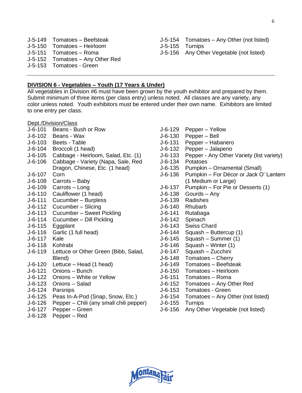- J-5-149 Tomatoes Beefsteak J-5-150 Tomatoes – Heirloom J-5-151 Tomatoes – Roma J-5-152 Tomatoes – Any Other Red J-5-153 Tomatoes - Green
- J-5-154 Tomatoes Any Other (not listed) J-5-155 Turnips
- J-5-156 Any Other Vegetable (not listed)

# **DIVISION 6 - Vegetables – Youth (17 Years & Under)**

All vegetables in Division #6 must have been grown by the youth exhibitor and prepared by them. Submit minimum of three items (per class entry) unless noted. All classes are any variety, any color unless noted. Youth exhibitors must be entered under their own name. Exhibitors are limited to one entry per class.

#### Dept./Division/Class

- J-6-101 Beans Bush or Row
- J-6-102 Beans Wax
- J-6-103 Beets Table
- J-6-104 Broccoli (1 head)
- J-6-105 Cabbage Heirloom, Salad, Etc. (1)
- J-6-106 Cabbage Variety (Napa, Sale, Red Dragon, Chinese, Etc. (1 head)
- J-6-107 Corn
- J-6-108 Carrots Baby
- J-6-109 Carrots Long
- J-6-110 Cauliflower (1 head)
- J-6-111 Cucumber Burpless
- J-6-112 Cucumber Slicing
- J-6-113 Cucumber Sweet Pickling
- J-6-114 Cucumber Dill Pickling
- J-6-115 Eggplant
- J-6-116 Garlic (1 full head)
- J-6-117 Kale
- J-6-118 Kohlrabi
- J-6-119 Lettuce or Other Green (Bibb, Salad, Blend)
- J-6-120 Lettuce Head (1 head)
- J-6-121 Onions Bunch
- J-6-122 Onions White or Yellow
- J-6-123 Onions Salad
- J-6-124 Parsnips
- J-6-125 Peas In-A-Pod (Snap, Snow, Etc.)
- J-6-126 Pepper Chili (any small chili pepper)
- J-6-127 Pepper Green
- J-6-128 Pepper Red
- J-6-129 Pepper Yellow
- J-6-130 Pepper Bell
- J-6-131 Pepper Habanero
- J-6-132 Pepper Jalapeno
- J-6-133 Pepper Any Other Variety (list variety)
- J-6-134 Potatoes
- J-6-135 Pumpkin Ornamental (Small)
- J-6-136 Pumpkin For Décor or Jack O' Lantern (1 Medium or Large)
- J-6-137 Pumpkin For Pie or Desserts (1)
- J-6-138 Gourds Any
- J-6-139 Radishes
- J-6-140 Rhubarb
- J-6-141 Rutabaga
- J-6-142 Spinach
- J-6-143 Swiss Chard
- J-6-144 Squash Buttercup (1)
- J-6-145 Squash Summer (1)
- J-6-146 Squash Winter (1)
- J-6-147 Squash Zucchini
- J-6-148 Tomatoes Cherry
- J-6-149 Tomatoes Beefsteak
- J-6-150 Tomatoes Heirloom
- J-6-151 Tomatoes Roma
- J-6-152 Tomatoes Any Other Red
- J-6-153 Tomatoes Green
- J-6-154 Tomatoes Any Other (not listed)
- J-6-155 Turnips
- J-6-156 Any Other Vegetable (not listed)

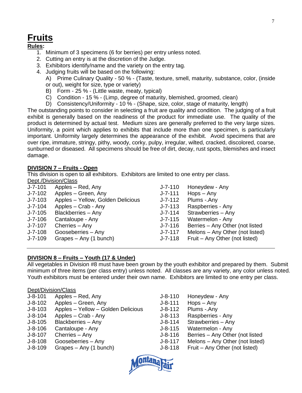# **Fruits**

# **Rules:**

- 1. Minimum of 3 specimens (6 for berries) per entry unless noted.
- 2. Cutting an entry is at the discretion of the Judge.
- 3. Exhibitors identify/name and the variety on the entry tag.
- 4. Judging fruits will be based on the following:
	- A) Prime Culinary Quality 50 % (Taste, texture, smell, maturity, substance, color, (inside or out), weight for size, type or variety)
	- B) Form 25 % (Little waste, meaty, typical)
	- C) Condition 15 % (Limp, degree of maturity, blemished, groomed, clean)
	- D) Consistency/Uniformity 10 % (Shape, size, color, stage of maturity, length)

The outstanding points to consider in selecting a fruit are quality and condition. The judging of a fruit exhibit is generally based on the readiness of the product for immediate use. The quality of the product is determined by actual test. Medium sizes are generally preferred to the very large sizes. Uniformity, a point which applies to exhibits that include more than one specimen, is particularly important. Uniformity largely determines the appearance of the exhibit. Avoid specimens that are over ripe, immature, stringy, pithy, woody, corky, pulpy, irregular, wilted, cracked, discolored, coarse, sunburned or diseased. All specimens should be free of dirt, decay, rust spots, blemishes and insect damage.

# **DIVISION 7 – Fruits - Open**

This division is open to all exhibitors. Exhibitors are limited to one entry per class. Dept./Division/Class

| $J - 7 - 101$ | Apples – Red, Any                 | $J - 7 - 110$ | Honeydew - Any                  |
|---------------|-----------------------------------|---------------|---------------------------------|
| $J - 7 - 102$ | Apples - Green, Any               | J-7-111       | $Hops - Any$                    |
| $J - 7 - 103$ | Apples - Yellow, Golden Delicious | J-7-112       | Plums - Any                     |
| $J - 7 - 104$ | Apples - Crab - Any               | J-7-113       | Raspberries - Any               |
| $J - 7 - 105$ | Blackberries - Any                | J-7-114       | Strawberries - Any              |
| $J - 7 - 106$ | Cantaloupe - Any                  | $J - 7 - 115$ | Watermelon - Any                |
| $J - 7 - 107$ | Cherries - Any                    | J-7-116       | Berries - Any Other (not listed |
| $J - 7 - 108$ | Gooseberries - Any                | J-7-117       | Melons – Any Other (not listed) |
| $J - 7 - 109$ | Grapes - Any (1 bunch)            | J-7-118       | Fruit – Any Other (not listed)  |
|               |                                   |               |                                 |

# **DIVISION 8 – Fruits – Youth (17 & Under)**

All vegetables in Division #8 must have been grown by the youth exhibitor and prepared by them. Submit minimum of three items (per class entry) unless noted. All classes are any variety, any color unless noted. Youth exhibitors must be entered under their own name. Exhibitors are limited to one entry per class.

# Dept/Division/Class

| $J-8-101$ | Apples – Red, Any |
|-----------|-------------------|
|-----------|-------------------|

- J-8-102 Apples Green, Any
- J-8-103 Apples Yellow Golden Delicious
- J-8-104 Apples Crab Any
- J-8-105 Blackberries Any
- J-8-106 Cantaloupe Any
- J-8-107 Cherries Any
- J-8-108 Gooseberries Any
- J-8-109 Grapes Any (1 bunch)

J-8-110 Honeydew - Any J-8-111 Hops – Any J-8-112 Plums -.Any J-8-113 Raspberries - Any J-8-114 Strawberries – Any J-8-115 Watermelon - Any J-8-116 Berries – Any Other (not listed J-8-117 Melons – Any Other (not listed) J-8-118 Fruit – Any Other (not listed)

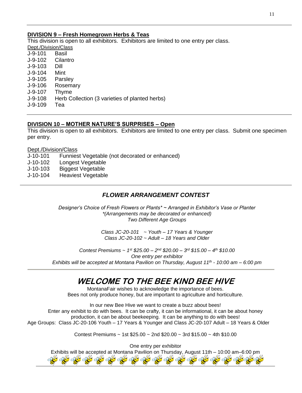# **DIVISION 9 – Fresh Homegrown Herbs & Teas**

This division is open to all exhibitors. Exhibitors are limited to one entry per class.

| Dept./Division/Class                           |
|------------------------------------------------|
| Basil                                          |
| Cilantro                                       |
| Dill                                           |
| Mint                                           |
| Parsley                                        |
| Rosemary                                       |
| Thyme                                          |
| Herb Collection (3 varieties of planted herbs) |
| Tea                                            |
|                                                |

# **DIVISION 10 – MOTHER NATURE'S SURPRISES – Open**

This division is open to all exhibitors. Exhibitors are limited to one entry per class. Submit one specimen per entry.

#### Dept./Division/Class

- J-10-101 Funniest Vegetable (not decorated or enhanced)
- J-10-102 Longest Vegetable
- J-10-103 Biggest Vegetable
- J-10-104 Heaviest Vegetable

# *FLOWER ARRANGEMENT CONTEST*

*Designer's Choice of Fresh Flowers or Plants\* ~ Arranged in Exhibitor's Vase or Planter \*(Arrangements may be decorated or enhanced) Two Different Age Groups*

> *Class JC-20-101 ~ Youth – 17 Years & Younger Class JC-20-102 ~ Adult – 18 Years and Older*

*Contest Premiums ~ 1st \$25.00 – 2 nd \$20.00 – 3 rd \$15.00 – 4 th \$10.00 One entry per exhibitor Exhibits will be accepted at Montana Pavilion on Thursday, August 11th - 10:00 am – 6:00 pm*

# **WELCOME TO THE BEE KIND BEE HIVE**

MontanaFair wishes to acknowledge the importance of bees. Bees not only produce honey, but are important to agriculture and horticulture.

In our new Bee Hive we want to create a buzz about bees! Enter any exhibit to do with bees. It can be crafty, it can be informational, it can be about honey production, it can be about beekeeping. It can be anything to do with bees! Age Groups: Class JC-20-106 Youth – 17 Years & Younger and Class JC-20-107 Adult – 18 Years & Older

Contest Premiums  $\sim$  1st \$25.00  $\sim$  2nd \$20.00  $\sim$  3rd \$15.00  $\sim$  4th \$10.00

One entry per exhibitor

Exhibits will be accepted at Montana Pavilion on Thursday, August 11th – 10:00 am–6:00 pm109 A. A. A. A. A. A. A. A.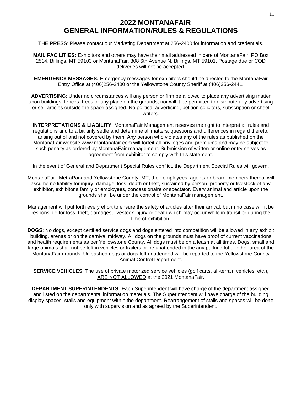# **2022 MONTANAFAIR GENERAL INFORMATION/RULES & REGULATIONS**

**THE PRESS**: Please contact our Marketing Department at 256-2400 for information and credentials.

**MAIL FACILITIES:** Exhibitors and others may have their mail addressed in care of MontanaFair, PO Box 2514, Billings, MT 59103 or MontanaFair, 308 6th Avenue N, Billings, MT 59101. Postage due or COD deliveries will not be accepted.

**EMERGENCY MESSAGES:** Emergency messages for exhibitors should be directed to the MontanaFair Entry Office at (406)256-2400 or the Yellowstone County Sheriff at (406)256-2441.

**ADVERTISING**: Under no circumstances will any person or firm be allowed to place any advertising matter upon buildings, fences, trees or any place on the grounds, nor will it be permitted to distribute any advertising or sell articles outside the space assigned. No political advertising, petition solicitors, subscription or sheet writers.

**INTERPRETATIONS & LIABILITY**: MontanaFair Management reserves the right to interpret all rules and regulations and to arbitrarily settle and determine all matters, questions and differences in regard thereto, arising out of and not covered by them. Any person who violates any of the rules as published on the MontanaFair website www.montanafair.com will forfeit all privileges and premiums and may be subject to such penalty as ordered by MontanaFair management. Submission of written or online entry serves as agreement from exhibitor to comply with this statement.

In the event of General and Department Special Rules conflict, the Department Special Rules will govern.

MontanaFair, MetraPark and Yellowstone County, MT, their employees, agents or board members thereof will assume no liability for injury, damage, loss, death or theft, sustained by person, property or livestock of any exhibitor, exhibitor's family or employees, concessionaire or spectator. Every animal and article upon the grounds shall be under the control of MontanaFair management.

Management will put forth every effort to ensure the safety of articles after their arrival, but in no case will it be responsible for loss, theft, damages, livestock injury or death which may occur while in transit or during the time of exhibition.

**DOGS**: No dogs, except certified service dogs and dogs entered into competition will be allowed in any exhibit building, arenas or on the carnival midway. All dogs on the grounds must have proof of current vaccinations and health requirements as per Yellowstone County. All dogs must be on a leash at all times. Dogs, small and large animals shall not be left in vehicles or trailers or be unattended in the any parking lot or other area of the MontanaFair grounds. Unleashed dogs or dogs left unattended will be reported to the Yellowstone County Animal Control Department.

**SERVICE VEHICLES**: The use of private motorized service vehicles (golf carts, all-terrain vehicles, etc.), ARE NOT ALLOWED at the 2021 MontanaFair.

**DEPARTMENT SUPERINTENDENTS:** Each Superintendent will have charge of the department assigned and listed on the departmental information materials. The Superintendent will have charge of the building display spaces, stalls and equipment within the department. Rearrangement of stalls and spaces will be done only with supervision and as agreed by the Superintendent.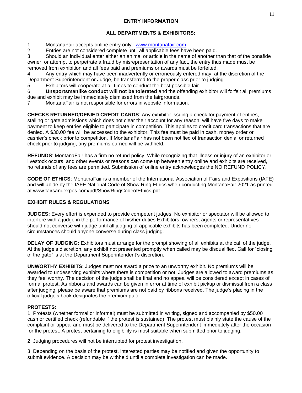# **ENTRY INFORMATION**

# **ALL DEPARTMENTS & EXHIBITORS:**

1. MontanaFair accepts online entry only. [www.montanafair.com](http://www.montanafair.com/)

2. Entries are not considered complete until all applicable fees have been paid.

3. Should an individual enter either an animal or article in the name of another than that of the bonafide owner, or attempt to perpetrate a fraud by misrepresentation of any fact, the entry thus made must be removed from exhibition and all fees paid and premiums or awards must be forfeited.

4. Any entry which may have been inadvertently or erroneously entered may, at the discretion of the Department Superintendent or Judge, be transferred to the proper class prior to judging.

5. Exhibitors will cooperate at all times to conduct the best possible fair.

6. **Unsportsmanlike conduct will not be tolerated** and the offending exhibitor will forfeit all premiums due and exhibit may be immediately dismissed from the fairgrounds.

7. MontanaFair is not responsible for errors in website information.

**CHECKS RETURNED/DENIED CREDIT CARDS**: Any exhibitor issuing a check for payment of entries, stalling or gate admissions which does not clear their account for any reason, will have five days to make payment to keep entries eligible to participate in competition. This applies to credit card transactions that are denied. A \$30.00 fee will be accessed to the exhibitor. This fee must be paid in cash, money order or cashier's check prior to competition. If MontanaFair has not been notified of transaction denial or returned check prior to judging, any premiums earned will be withheld.

**REFUNDS**: MontanaFair has a firm no refund policy. While recognizing that illness or injury of an exhibitor or livestock occurs, and other events or reasons can come up between entry online and exhibits are received, no refunds of any fees are permitted. Submission of online entry acknowledges the NO REFUND POLICY.

**CODE OF ETHICS**: MontanaFair is a member of the International Association of Fairs and Expositions (IAFE) and will abide by the IAFE National Code of Show Ring Ethics when conducting MontanaFair 2021 as printed at www.fairsandexpos.com/pdf/ShowRingCodeofEthics.pdf

# **EXHIBIT RULES & REGULATIONS**

**JUDGES:** Every effort is expended to provide competent judges. No exhibitor or spectator will be allowed to interfere with a judge in the performance of his/her duties Exhibitors, owners, agents or representatives should not converse with judge until all judging of applicable exhibits has been completed. Under no circumstances should anyone converse during class judging.

**DELAY OF JUDGING:** Exhibitors must arrange for the prompt showing of all exhibits at the call of the judge. At the judge's discretion, any exhibit not presented promptly when called may be disqualified. Call for "closing of the gate" is at the Department Superintendent's discretion.

**UNWORTHY EXHIBITS**: Judges must not award a prize to an unworthy exhibit. No premiums will be awarded to undeserving exhibits where there is competition or not. Judges are allowed to award premiums as they feel worthy. The decision of the judge shall be final and no appeal will be considered except in cases of formal protest. As ribbons and awards can be given in error at time of exhibit pickup or dismissal from a class after judging, please be aware that premiums are not paid by ribbons received. The judge's placing in the official judge's book designates the premium paid.

# **PROTESTS:**

1. Protests (whether formal or informal) must be submitted in writing, signed and accompanied by \$50.00 cash or certified check (refundable if the protest is sustained). The protest must plainly state the cause of the complaint or appeal and must be delivered to the Department Superintendent immediately after the occasion for the protest. A protest pertaining to eligibility is most suitable when submitted prior to judging.

2. Judging procedures will not be interrupted for protest investigation.

3. Depending on the basis of the protest, interested parties may be notified and given the opportunity to submit evidence. A decision may be withheld until a complete investigation can be made.